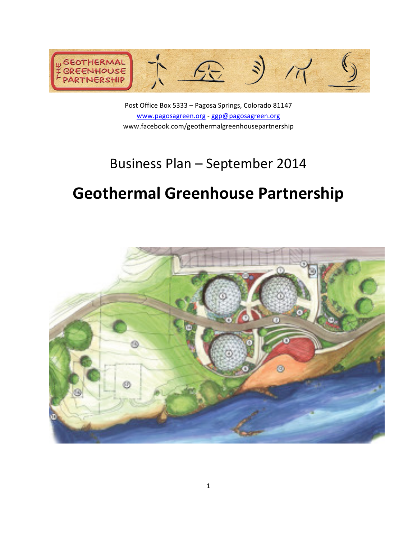

Post Office Box 5333 - Pagosa Springs, Colorado 81147 www.pagosagreen.org - ggp@pagosagreen.org www.facebook.com/geothermalgreenhousepartnership

## Business Plan – September 2014

# **Geothermal Greenhouse Partnership**

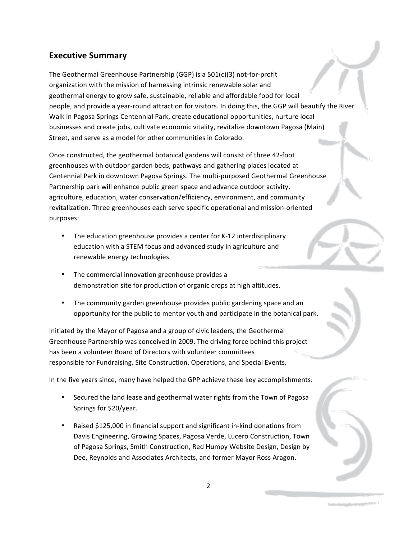## **Executive Summary**

The Geothermal Greenhouse Partnership (GGP) is a  $501(c)(3)$  not-for-profit organization with the mission of harnessing intrinsic renewable solar and geothermal energy to grow safe, sustainable, reliable and affordable food for local people, and provide a year-round attraction for visitors. In doing this, the GGP will beautify the River Walk in Pagosa Springs Centennial Park, create educational opportunities, nurture local businesses and create jobs, cultivate economic vitality, revitalize downtown Pagosa (Main) Street, and serve as a model for other communities in Colorado.

Once constructed, the geothermal botanical gardens will consist of three 42-foot greenhouses with outdoor garden beds, pathways and gathering places located at Centennial Park in downtown Pagosa Springs. The multi-purposed Geothermal Greenhouse Partnership park will enhance public green space and advance outdoor activity, agriculture, education, water conservation/efficiency, environment, and community revitalization. Three greenhouses each serve specific operational and mission-oriented purposes:

- The education greenhouse provides a center for K-12 interdisciplinary education with a STEM focus and advanced study in agriculture and renewable energy technologies.
- The commercial innovation greenhouse provides a demonstration site for production of organic crops at high altitudes.
- The community garden greenhouse provides public gardening space and an opportunity for the public to mentor youth and participate in the botanical park.

Initiated by the Mayor of Pagosa and a group of civic leaders, the Geothermal Greenhouse Partnership was conceived in 2009. The driving force behind this project has been a volunteer Board of Directors with volunteer committees responsible for Fundraising, Site Construction, Operations, and Special Events.

In the five years since, many have helped the GPP achieve these key accomplishments:

- Secured the land lease and geothermal water rights from the Town of Pagosa Springs for \$20/year.
- Raised \$125,000 in financial support and significant in-kind donations from Davis Engineering, Growing Spaces, Pagosa Verde, Lucero Construction, Town of Pagosa Springs, Smith Construction, Red Humpy Website Design, Design by Dee, Reynolds and Associates Architects, and former Mayor Ross Aragon.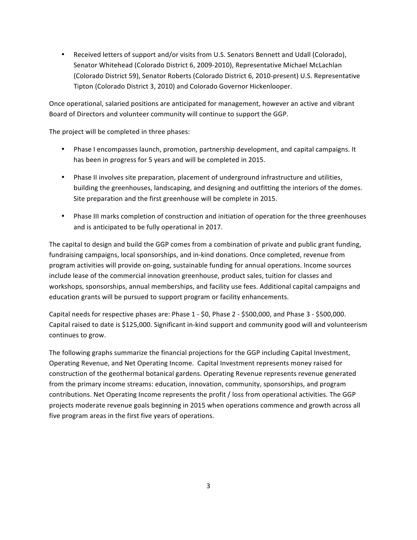• Received letters of support and/or visits from U.S. Senators Bennett and Udall (Colorado), Senator Whitehead (Colorado District 6, 2009-2010), Representative Michael McLachlan (Colorado District 59), Senator Roberts (Colorado District 6, 2010-present) U.S. Representative Tipton (Colorado District 3, 2010) and Colorado Governor Hickenlooper.

Once operational, salaried positions are anticipated for management, however an active and vibrant Board of Directors and volunteer community will continue to support the GGP.

The project will be completed in three phases:

- Phase I encompasses launch, promotion, partnership development, and capital campaigns. It has been in progress for 5 years and will be completed in 2015.
- Phase II involves site preparation, placement of underground infrastructure and utilities, building the greenhouses, landscaping, and designing and outfitting the interiors of the domes. Site preparation and the first greenhouse will be complete in 2015.
- Phase III marks completion of construction and initiation of operation for the three greenhouses and is anticipated to be fully operational in 2017.

The capital to design and build the GGP comes from a combination of private and public grant funding, fundraising campaigns, local sponsorships, and in-kind donations. Once completed, revenue from program activities will provide on-going, sustainable funding for annual operations. Income sources include lease of the commercial innovation greenhouse, product sales, tuition for classes and workshops, sponsorships, annual memberships, and facility use fees. Additional capital campaigns and education grants will be pursued to support program or facility enhancements.

Capital needs for respective phases are: Phase 1 - \$0, Phase 2 - \$500,000, and Phase 3 - \$500,000. Capital raised to date is \$125,000. Significant in-kind support and community good will and volunteerism continues to grow.

The following graphs summarize the financial projections for the GGP including Capital Investment, Operating Revenue, and Net Operating Income. Capital Investment represents money raised for construction of the geothermal botanical gardens. Operating Revenue represents revenue generated from the primary income streams: education, innovation, community, sponsorships, and program contributions. Net Operating Income represents the profit / loss from operational activities. The GGP projects moderate revenue goals beginning in 2015 when operations commence and growth across all five program areas in the first five years of operations.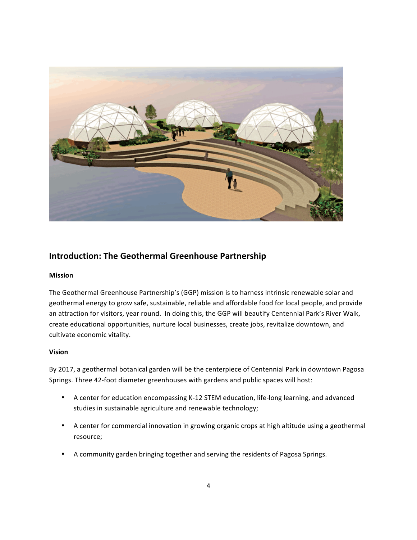

## **Introduction: The Geothermal Greenhouse Partnership**

## **Mission**

The Geothermal Greenhouse Partnership's (GGP) mission is to harness intrinsic renewable solar and geothermal energy to grow safe, sustainable, reliable and affordable food for local people, and provide an attraction for visitors, year round. In doing this, the GGP will beautify Centennial Park's River Walk, create educational opportunities, nurture local businesses, create jobs, revitalize downtown, and cultivate economic vitality.

## **Vision**

By 2017, a geothermal botanical garden will be the centerpiece of Centennial Park in downtown Pagosa Springs. Three 42-foot diameter greenhouses with gardens and public spaces will host:

- A center for education encompassing K-12 STEM education, life-long learning, and advanced studies in sustainable agriculture and renewable technology;
- A center for commercial innovation in growing organic crops at high altitude using a geothermal resource;
- A community garden bringing together and serving the residents of Pagosa Springs.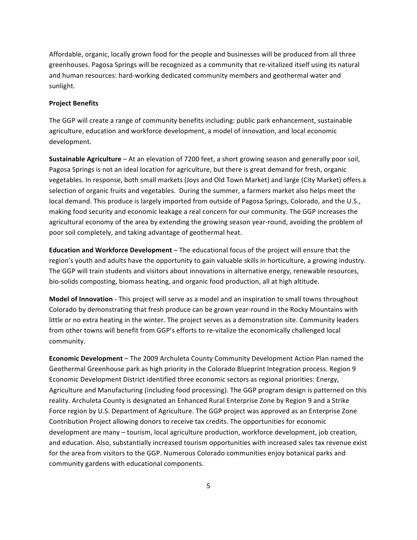Affordable, organic, locally grown food for the people and businesses will be produced from all three greenhouses. Pagosa Springs will be recognized as a community that re-vitalized itself using its natural and human resources: hard-working dedicated community members and geothermal water and sunlight.

#### **Project Benefits**

The GGP will create a range of community benefits including: public park enhancement, sustainable agriculture, education and workforce development, a model of innovation, and local economic development.

**Sustainable Agriculture** – At an elevation of 7200 feet, a short growing season and generally poor soil, Pagosa Springs is not an ideal location for agriculture, but there is great demand for fresh, organic vegetables. In response, both small markets (Joys and Old Town Market) and large (City Market) offers a selection of organic fruits and vegetables. During the summer, a farmers market also helps meet the local demand. This produce is largely imported from outside of Pagosa Springs, Colorado, and the U.S., making food security and economic leakage a real concern for our community. The GGP increases the agricultural economy of the area by extending the growing season year-round, avoiding the problem of poor soil completely, and taking advantage of geothermal heat.

**Education and Workforce Development** – The educational focus of the project will ensure that the region's youth and adults have the opportunity to gain valuable skills in horticulture, a growing industry. The GGP will train students and visitors about innovations in alternative energy, renewable resources, bio-solids composting, biomass heating, and organic food production, all at high altitude.

**Model of Innovation** - This project will serve as a model and an inspiration to small towns throughout Colorado by demonstrating that fresh produce can be grown year-round in the Rocky Mountains with little or no extra heating in the winter. The project serves as a demonstration site. Community leaders from other towns will benefit from GGP's efforts to re-vitalize the economically challenged local community.

**Economic Development** – The 2009 Archuleta County Community Development Action Plan named the Geothermal Greenhouse park as high priority in the Colorado Blueprint Integration process. Region 9 Economic Development District identified three economic sectors as regional priorities: Energy, Agriculture and Manufacturing (including food processing). The GGP program design is patterned on this reality. Archuleta County is designated an Enhanced Rural Enterprise Zone by Region 9 and a Strike Force region by U.S. Department of Agriculture. The GGP project was approved as an Enterprise Zone Contribution Project allowing donors to receive tax credits. The opportunities for economic development are many – tourism, local agriculture production, workforce development, job creation, and education. Also, substantially increased tourism opportunities with increased sales tax revenue exist for the area from visitors to the GGP. Numerous Colorado communities enjoy botanical parks and community gardens with educational components.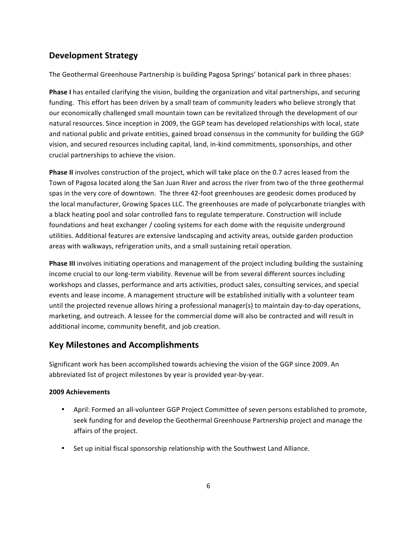## **Development Strategy**

The Geothermal Greenhouse Partnership is building Pagosa Springs' botanical park in three phases:

**Phase I** has entailed clarifying the vision, building the organization and vital partnerships, and securing funding. This effort has been driven by a small team of community leaders who believe strongly that our economically challenged small mountain town can be revitalized through the development of our natural resources. Since inception in 2009, the GGP team has developed relationships with local, state and national public and private entities, gained broad consensus in the community for building the GGP vision, and secured resources including capital, land, in-kind commitments, sponsorships, and other crucial partnerships to achieve the vision.

**Phase II** involves construction of the project, which will take place on the 0.7 acres leased from the Town of Pagosa located along the San Juan River and across the river from two of the three geothermal spas in the very core of downtown. The three 42-foot greenhouses are geodesic domes produced by the local manufacturer, Growing Spaces LLC. The greenhouses are made of polycarbonate triangles with a black heating pool and solar controlled fans to regulate temperature. Construction will include foundations and heat exchanger / cooling systems for each dome with the requisite underground utilities. Additional features are extensive landscaping and activity areas, outside garden production areas with walkways, refrigeration units, and a small sustaining retail operation.

**Phase III** involves initiating operations and management of the project including building the sustaining income crucial to our long-term viability. Revenue will be from several different sources including workshops and classes, performance and arts activities, product sales, consulting services, and special events and lease income. A management structure will be established initially with a volunteer team until the projected revenue allows hiring a professional manager(s) to maintain day-to-day operations, marketing, and outreach. A lessee for the commercial dome will also be contracted and will result in additional income, community benefit, and job creation.

## **Key Milestones and Accomplishments**

Significant work has been accomplished towards achieving the vision of the GGP since 2009. An abbreviated list of project milestones by year is provided year-by-year.

## **2009 Achievements**

- April: Formed an all-volunteer GGP Project Committee of seven persons established to promote, seek funding for and develop the Geothermal Greenhouse Partnership project and manage the affairs of the project.
- Set up initial fiscal sponsorship relationship with the Southwest Land Alliance.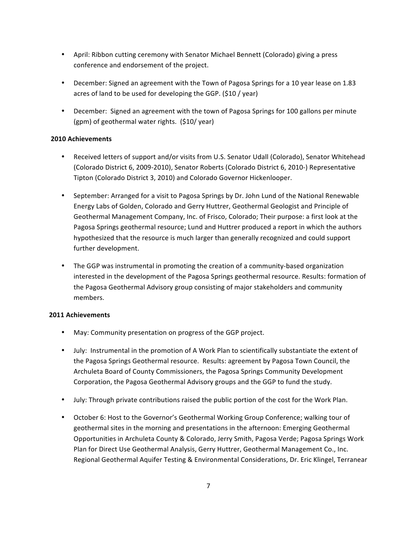- April: Ribbon cutting ceremony with Senator Michael Bennett (Colorado) giving a press conference and endorsement of the project.
- December: Signed an agreement with the Town of Pagosa Springs for a 10 year lease on 1.83 acres of land to be used for developing the GGP. (\$10 / year)
- December: Signed an agreement with the town of Pagosa Springs for 100 gallons per minute (gpm) of geothermal water rights.  $(510/$  year)

## **2010 Achievements**

- Received letters of support and/or visits from U.S. Senator Udall (Colorado), Senator Whitehead (Colorado District 6, 2009-2010), Senator Roberts (Colorado District 6, 2010-) Representative Tipton (Colorado District 3, 2010) and Colorado Governor Hickenlooper.
- September: Arranged for a visit to Pagosa Springs by Dr. John Lund of the National Renewable Energy Labs of Golden, Colorado and Gerry Huttrer, Geothermal Geologist and Principle of Geothermal Management Company, Inc. of Frisco, Colorado; Their purpose: a first look at the Pagosa Springs geothermal resource; Lund and Huttrer produced a report in which the authors hypothesized that the resource is much larger than generally recognized and could support further development.
- The GGP was instrumental in promoting the creation of a community-based organization interested in the development of the Pagosa Springs geothermal resource. Results: formation of the Pagosa Geothermal Advisory group consisting of major stakeholders and community members.

## **2011 Achievements**

- May: Community presentation on progress of the GGP project.
- July: Instrumental in the promotion of A Work Plan to scientifically substantiate the extent of the Pagosa Springs Geothermal resource. Results: agreement by Pagosa Town Council, the Archuleta Board of County Commissioners, the Pagosa Springs Community Development Corporation, the Pagosa Geothermal Advisory groups and the GGP to fund the study.
- July: Through private contributions raised the public portion of the cost for the Work Plan.
- October 6: Host to the Governor's Geothermal Working Group Conference; walking tour of geothermal sites in the morning and presentations in the afternoon: Emerging Geothermal Opportunities in Archuleta County & Colorado, Jerry Smith, Pagosa Verde; Pagosa Springs Work Plan for Direct Use Geothermal Analysis, Gerry Huttrer, Geothermal Management Co., Inc. Regional Geothermal Aquifer Testing & Environmental Considerations, Dr. Eric Klingel, Terranear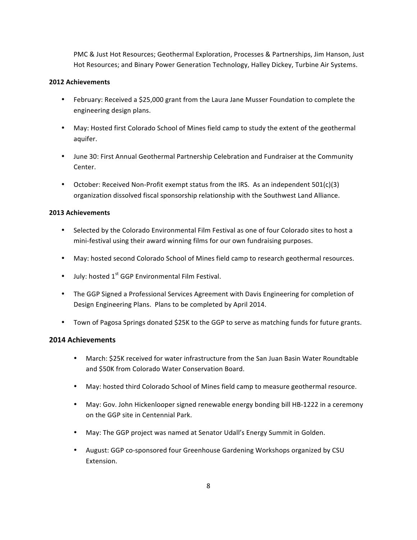PMC & Just Hot Resources; Geothermal Exploration, Processes & Partnerships, Jim Hanson, Just Hot Resources; and Binary Power Generation Technology, Halley Dickey, Turbine Air Systems.

#### **2012 Achievements**

- February: Received a \$25,000 grant from the Laura Jane Musser Foundation to complete the engineering design plans.
- May: Hosted first Colorado School of Mines field camp to study the extent of the geothermal aquifer.
- June 30: First Annual Geothermal Partnership Celebration and Fundraiser at the Community Center.
- October: Received Non-Profit exempt status from the IRS. As an independent  $501(c)(3)$ organization dissolved fiscal sponsorship relationship with the Southwest Land Alliance.

## **2013 Achievements**

- Selected by the Colorado Environmental Film Festival as one of four Colorado sites to host a mini-festival using their award winning films for our own fundraising purposes.
- May: hosted second Colorado School of Mines field camp to research geothermal resources.
- July: hosted  $1<sup>st</sup>$  GGP Environmental Film Festival.
- The GGP Signed a Professional Services Agreement with Davis Engineering for completion of Design Engineering Plans. Plans to be completed by April 2014.
- Town of Pagosa Springs donated \$25K to the GGP to serve as matching funds for future grants.

## **2014 Achievements**

- March: \$25K received for water infrastructure from the San Juan Basin Water Roundtable and \$50K from Colorado Water Conservation Board.
- May: hosted third Colorado School of Mines field camp to measure geothermal resource.
- May: Gov. John Hickenlooper signed renewable energy bonding bill HB-1222 in a ceremony on the GGP site in Centennial Park.
- May: The GGP project was named at Senator Udall's Energy Summit in Golden.
- August: GGP co-sponsored four Greenhouse Gardening Workshops organized by CSU Extension.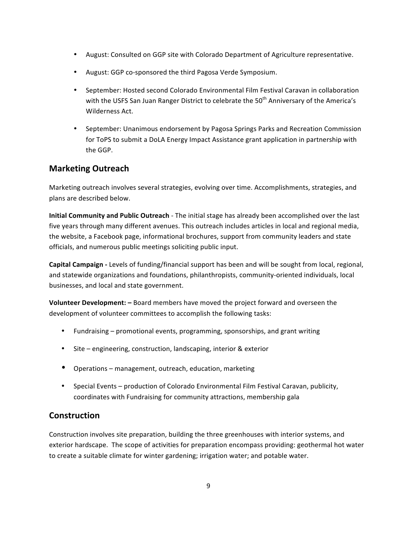- August: Consulted on GGP site with Colorado Department of Agriculture representative.
- August: GGP co-sponsored the third Pagosa Verde Symposium.
- September: Hosted second Colorado Environmental Film Festival Caravan in collaboration with the USFS San Juan Ranger District to celebrate the  $50<sup>th</sup>$  Anniversary of the America's Wilderness Act.
- September: Unanimous endorsement by Pagosa Springs Parks and Recreation Commission for ToPS to submit a DoLA Energy Impact Assistance grant application in partnership with the GGP.

## **Marketing Outreach**

Marketing outreach involves several strategies, evolving over time. Accomplishments, strategies, and plans are described below.

**Initial Community and Public Outreach** - The initial stage has already been accomplished over the last five years through many different avenues. This outreach includes articles in local and regional media, the website, a Facebook page, informational brochures, support from community leaders and state officials, and numerous public meetings soliciting public input.

**Capital Campaign -** Levels of funding/financial support has been and will be sought from local, regional, and statewide organizations and foundations, philanthropists, community-oriented individuals, local businesses, and local and state government.

**Volunteer Development:** - Board members have moved the project forward and overseen the development of volunteer committees to accomplish the following tasks:

- Fundraising promotional events, programming, sponsorships, and grant writing
- Site engineering, construction, landscaping, interior & exterior
- Operations management, outreach, education, marketing
- Special Events production of Colorado Environmental Film Festival Caravan, publicity, coordinates with Fundraising for community attractions, membership gala

## **Construction**

Construction involves site preparation, building the three greenhouses with interior systems, and exterior hardscape. The scope of activities for preparation encompass providing: geothermal hot water to create a suitable climate for winter gardening; irrigation water; and potable water.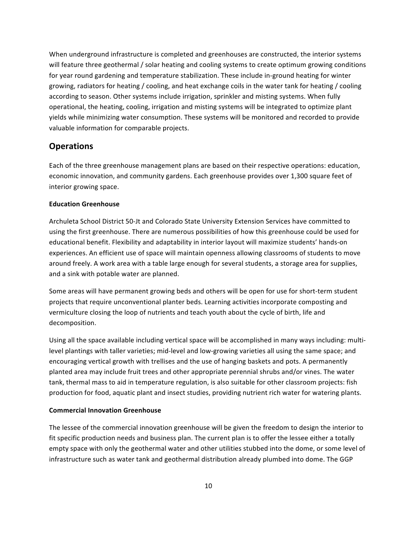When underground infrastructure is completed and greenhouses are constructed, the interior systems will feature three geothermal / solar heating and cooling systems to create optimum growing conditions for year round gardening and temperature stabilization. These include in-ground heating for winter growing, radiators for heating / cooling, and heat exchange coils in the water tank for heating / cooling according to season. Other systems include irrigation, sprinkler and misting systems. When fully operational, the heating, cooling, irrigation and misting systems will be integrated to optimize plant yields while minimizing water consumption. These systems will be monitored and recorded to provide valuable information for comparable projects.

## **Operations**

Each of the three greenhouse management plans are based on their respective operations: education, economic innovation, and community gardens. Each greenhouse provides over 1,300 square feet of interior growing space.

#### **Education Greenhouse**

Archuleta School District 50-Jt and Colorado State University Extension Services have committed to using the first greenhouse. There are numerous possibilities of how this greenhouse could be used for educational benefit. Flexibility and adaptability in interior layout will maximize students' hands-on experiences. An efficient use of space will maintain openness allowing classrooms of students to move around freely. A work area with a table large enough for several students, a storage area for supplies, and a sink with potable water are planned.

Some areas will have permanent growing beds and others will be open for use for short-term student projects that require unconventional planter beds. Learning activities incorporate composting and vermiculture closing the loop of nutrients and teach youth about the cycle of birth, life and decomposition. 

Using all the space available including vertical space will be accomplished in many ways including: multilevel plantings with taller varieties; mid-level and low-growing varieties all using the same space; and encouraging vertical growth with trellises and the use of hanging baskets and pots. A permanently planted area may include fruit trees and other appropriate perennial shrubs and/or vines. The water tank, thermal mass to aid in temperature regulation, is also suitable for other classroom projects: fish production for food, aquatic plant and insect studies, providing nutrient rich water for watering plants.

#### **Commercial Innovation Greenhouse**

The lessee of the commercial innovation greenhouse will be given the freedom to design the interior to fit specific production needs and business plan. The current plan is to offer the lessee either a totally empty space with only the geothermal water and other utilities stubbed into the dome, or some level of infrastructure such as water tank and geothermal distribution already plumbed into dome. The GGP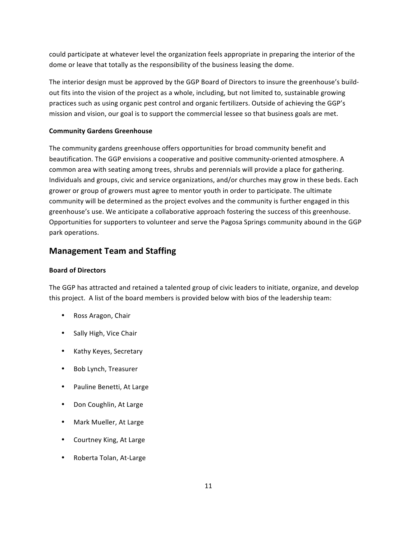could participate at whatever level the organization feels appropriate in preparing the interior of the dome or leave that totally as the responsibility of the business leasing the dome.

The interior design must be approved by the GGP Board of Directors to insure the greenhouse's buildout fits into the vision of the project as a whole, including, but not limited to, sustainable growing practices such as using organic pest control and organic fertilizers. Outside of achieving the GGP's mission and vision, our goal is to support the commercial lessee so that business goals are met.

### **Community Gardens Greenhouse**

The community gardens greenhouse offers opportunities for broad community benefit and beautification. The GGP envisions a cooperative and positive community-oriented atmosphere. A common area with seating among trees, shrubs and perennials will provide a place for gathering. Individuals and groups, civic and service organizations, and/or churches may grow in these beds. Each grower or group of growers must agree to mentor youth in order to participate. The ultimate community will be determined as the project evolves and the community is further engaged in this greenhouse's use. We anticipate a collaborative approach fostering the success of this greenhouse. Opportunities for supporters to volunteer and serve the Pagosa Springs community abound in the GGP park operations.

## **Management Team and Staffing**

#### **Board of Directors**

The GGP has attracted and retained a talented group of civic leaders to initiate, organize, and develop this project. A list of the board members is provided below with bios of the leadership team:

- Ross Aragon, Chair
- Sally High, Vice Chair
- Kathy Keyes, Secretary
- Bob Lynch, Treasurer
- Pauline Benetti, At Large
- Don Coughlin, At Large
- Mark Mueller, At Large
- Courtney King, At Large
- Roberta Tolan, At-Large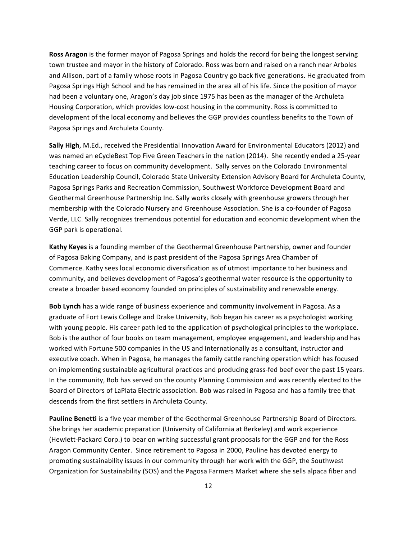**Ross Aragon** is the former mayor of Pagosa Springs and holds the record for being the longest serving town trustee and mayor in the history of Colorado. Ross was born and raised on a ranch near Arboles and Allison, part of a family whose roots in Pagosa Country go back five generations. He graduated from Pagosa Springs High School and he has remained in the area all of his life. Since the position of mayor had been a voluntary one, Aragon's day job since 1975 has been as the manager of the Archuleta Housing Corporation, which provides low-cost housing in the community. Ross is committed to development of the local economy and believes the GGP provides countless benefits to the Town of Pagosa Springs and Archuleta County.

**Sally High**, M.Ed., received the Presidential Innovation Award for Environmental Educators (2012) and was named an eCycleBest Top Five Green Teachers in the nation (2014). She recently ended a 25-year teaching career to focus on community development. Sally serves on the Colorado Environmental Education Leadership Council, Colorado State University Extension Advisory Board for Archuleta County, Pagosa Springs Parks and Recreation Commission, Southwest Workforce Development Board and Geothermal Greenhouse Partnership Inc. Sally works closely with greenhouse growers through her membership with the Colorado Nursery and Greenhouse Association. She is a co-founder of Pagosa Verde, LLC. Sally recognizes tremendous potential for education and economic development when the GGP park is operational.

Kathy Keyes is a founding member of the Geothermal Greenhouse Partnership, owner and founder of Pagosa Baking Company, and is past president of the Pagosa Springs Area Chamber of Commerce. Kathy sees local economic diversification as of utmost importance to her business and community, and believes development of Pagosa's geothermal water resource is the opportunity to create a broader based economy founded on principles of sustainability and renewable energy.

**Bob Lynch** has a wide range of business experience and community involvement in Pagosa. As a graduate of Fort Lewis College and Drake University, Bob began his career as a psychologist working with young people. His career path led to the application of psychological principles to the workplace. Bob is the author of four books on team management, employee engagement, and leadership and has worked with Fortune 500 companies in the US and Internationally as a consultant, instructor and executive coach. When in Pagosa, he manages the family cattle ranching operation which has focused on implementing sustainable agricultural practices and producing grass-fed beef over the past 15 years. In the community, Bob has served on the county Planning Commission and was recently elected to the Board of Directors of LaPlata Electric association. Bob was raised in Pagosa and has a family tree that descends from the first settlers in Archuleta County.

Pauline Benetti is a five year member of the Geothermal Greenhouse Partnership Board of Directors. She brings her academic preparation (University of California at Berkeley) and work experience (Hewlett-Packard Corp.) to bear on writing successful grant proposals for the GGP and for the Ross Aragon Community Center. Since retirement to Pagosa in 2000, Pauline has devoted energy to promoting sustainability issues in our community through her work with the GGP, the Southwest Organization for Sustainability (SOS) and the Pagosa Farmers Market where she sells alpaca fiber and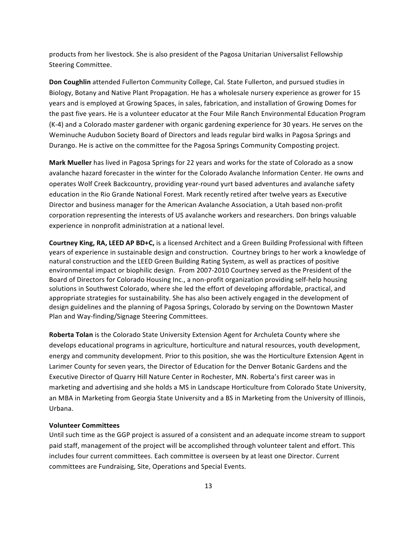products from her livestock. She is also president of the Pagosa Unitarian Universalist Fellowship Steering Committee.

**Don Coughlin** attended Fullerton Community College, Cal. State Fullerton, and pursued studies in Biology, Botany and Native Plant Propagation. He has a wholesale nursery experience as grower for 15 years and is employed at Growing Spaces, in sales, fabrication, and installation of Growing Domes for the past five years. He is a volunteer educator at the Four Mile Ranch Environmental Education Program (K-4) and a Colorado master gardener with organic gardening experience for 30 years. He serves on the Weminuche Audubon Society Board of Directors and leads regular bird walks in Pagosa Springs and Durango. He is active on the committee for the Pagosa Springs Community Composting project.

**Mark Mueller** has lived in Pagosa Springs for 22 years and works for the state of Colorado as a snow avalanche hazard forecaster in the winter for the Colorado Avalanche Information Center. He owns and operates Wolf Creek Backcountry, providing year-round yurt based adventures and avalanche safety education in the Rio Grande National Forest. Mark recently retired after twelve years as Executive Director and business manager for the American Avalanche Association, a Utah based non-profit corporation representing the interests of US avalanche workers and researchers. Don brings valuable experience in nonprofit administration at a national level.

**Courtney King, RA, LEED AP BD+C,** is a licensed Architect and a Green Building Professional with fifteen years of experience in sustainable design and construction. Courtney brings to her work a knowledge of natural construction and the LEED Green Building Rating System, as well as practices of positive environmental impact or biophilic design. From 2007-2010 Courtney served as the President of the Board of Directors for Colorado Housing Inc., a non-profit organization providing self-help housing solutions in Southwest Colorado, where she led the effort of developing affordable, practical, and appropriate strategies for sustainability. She has also been actively engaged in the development of design guidelines and the planning of Pagosa Springs, Colorado by serving on the Downtown Master Plan and Way-finding/Signage Steering Committees.

**Roberta Tolan** is the Colorado State University Extension Agent for Archuleta County where she develops educational programs in agriculture, horticulture and natural resources, youth development, energy and community development. Prior to this position, she was the Horticulture Extension Agent in Larimer County for seven years, the Director of Education for the Denver Botanic Gardens and the Executive Director of Quarry Hill Nature Center in Rochester, MN. Roberta's first career was in marketing and advertising and she holds a MS in Landscape Horticulture from Colorado State University, an MBA in Marketing from Georgia State University and a BS in Marketing from the University of Illinois, Urbana.

#### **Volunteer Committees**

Until such time as the GGP project is assured of a consistent and an adequate income stream to support paid staff, management of the project will be accomplished through volunteer talent and effort. This includes four current committees. Each committee is overseen by at least one Director. Current committees are Fundraising, Site, Operations and Special Events.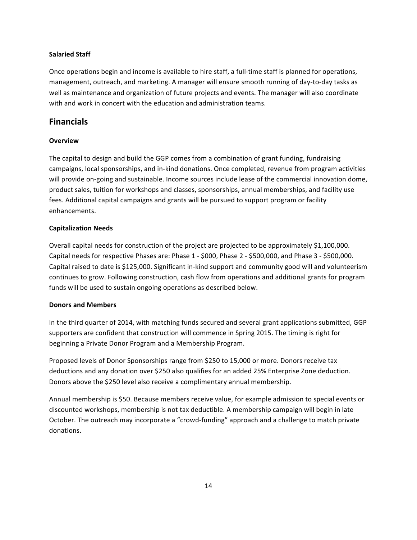## **Salaried Staff**

Once operations begin and income is available to hire staff, a full-time staff is planned for operations, management, outreach, and marketing. A manager will ensure smooth running of day-to-day tasks as well as maintenance and organization of future projects and events. The manager will also coordinate with and work in concert with the education and administration teams.

## **Financials**

## **Overview**

The capital to design and build the GGP comes from a combination of grant funding, fundraising campaigns, local sponsorships, and in-kind donations. Once completed, revenue from program activities will provide on-going and sustainable. Income sources include lease of the commercial innovation dome, product sales, tuition for workshops and classes, sponsorships, annual memberships, and facility use fees. Additional capital campaigns and grants will be pursued to support program or facility enhancements. 

## **Capitalization Needs**

Overall capital needs for construction of the project are projected to be approximately \$1,100,000. Capital needs for respective Phases are: Phase 1 - \$000, Phase 2 - \$500,000, and Phase 3 - \$500,000. Capital raised to date is \$125,000. Significant in-kind support and community good will and volunteerism continues to grow. Following construction, cash flow from operations and additional grants for program funds will be used to sustain ongoing operations as described below.

#### **Donors and Members**

In the third quarter of 2014, with matching funds secured and several grant applications submitted, GGP supporters are confident that construction will commence in Spring 2015. The timing is right for beginning a Private Donor Program and a Membership Program.

Proposed levels of Donor Sponsorships range from \$250 to 15,000 or more. Donors receive tax deductions and any donation over \$250 also qualifies for an added 25% Enterprise Zone deduction. Donors above the \$250 level also receive a complimentary annual membership.

Annual membership is \$50. Because members receive value, for example admission to special events or discounted workshops, membership is not tax deductible. A membership campaign will begin in late October. The outreach may incorporate a "crowd-funding" approach and a challenge to match private donations.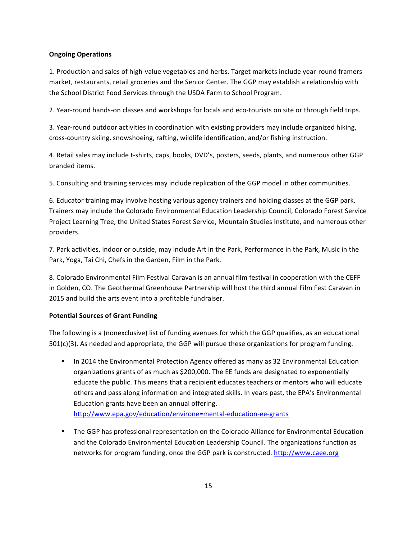## **Ongoing Operations**

1. Production and sales of high-value vegetables and herbs. Target markets include year-round framers market, restaurants, retail groceries and the Senior Center. The GGP may establish a relationship with the School District Food Services through the USDA Farm to School Program.

2. Year-round hands-on classes and workshops for locals and eco-tourists on site or through field trips.

3. Year-round outdoor activities in coordination with existing providers may include organized hiking, cross-country skiing, snowshoeing, rafting, wildlife identification, and/or fishing instruction.

4. Retail sales may include t-shirts, caps, books, DVD's, posters, seeds, plants, and numerous other GGP branded items.

5. Consulting and training services may include replication of the GGP model in other communities.

6. Educator training may involve hosting various agency trainers and holding classes at the GGP park. Trainers may include the Colorado Environmental Education Leadership Council, Colorado Forest Service Project Learning Tree, the United States Forest Service, Mountain Studies Institute, and numerous other providers.

7. Park activities, indoor or outside, may include Art in the Park, Performance in the Park, Music in the Park, Yoga, Tai Chi, Chefs in the Garden, Film in the Park.

8. Colorado Environmental Film Festival Caravan is an annual film festival in cooperation with the CEFF in Golden, CO. The Geothermal Greenhouse Partnership will host the third annual Film Fest Caravan in 2015 and build the arts event into a profitable fundraiser.

#### **Potential Sources of Grant Funding**

The following is a (nonexclusive) list of funding avenues for which the GGP qualifies, as an educational  $501(c)(3)$ . As needed and appropriate, the GGP will pursue these organizations for program funding.

- In 2014 the Environmental Protection Agency offered as many as 32 Environmental Education organizations grants of as much as \$200,000. The EE funds are designated to exponentially educate the public. This means that a recipient educates teachers or mentors who will educate others and pass along information and integrated skills. In years past, the EPA's Environmental Education grants have been an annual offering. http://www.epa.gov/education/environe=mental-education-ee-grants
- The GGP has professional representation on the Colorado Alliance for Environmental Education and the Colorado Environmental Education Leadership Council. The organizations function as networks for program funding, once the GGP park is constructed. http://www.caee.org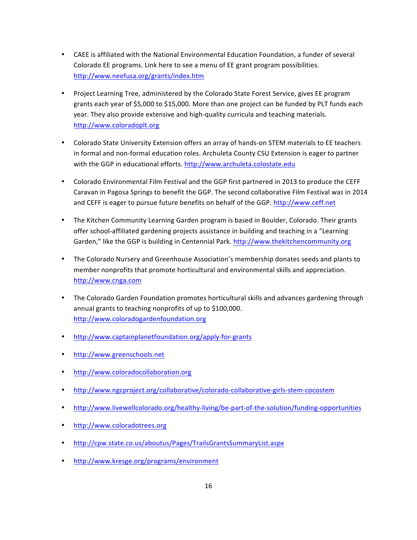- CAEE is affiliated with the National Environmental Education Foundation, a funder of several Colorado EE programs. Link here to see a menu of EE grant program possibilities. http://www.neefusa.org/grants/index.htm
- Project Learning Tree, administered by the Colorado State Forest Service, gives EE program grants each year of \$5,000 to \$15,000. More than one project can be funded by PLT funds each year. They also provide extensive and high-quality curricula and teaching materials. http://www.coloradoplt.org
- Colorado State University Extension offers an array of hands-on STEM materials to EE teachers in formal and non-formal education roles. Archuleta County CSU Extension is eager to partner with the GGP in educational efforts. http://www.archuleta.colostate.edu
- Colorado Environmental Film Festival and the GGP first partnered in 2013 to produce the CEFF Caravan in Pagosa Springs to benefit the GGP. The second collaborative Film Festival was in 2014 and CEFF is eager to pursue future benefits on behalf of the GGP. http://www.ceff.net
- The Kitchen Community Learning Garden program is based in Boulder, Colorado. Their grants offer school-affiliated gardening projects assistance in building and teaching in a "Learning Garden," like the GGP is building in Centennial Park. http://www.thekitchencommunity.org
- The Colorado Nursery and Greenhouse Association's membership donates seeds and plants to member nonprofits that promote horticultural and environmental skills and appreciation. http://www.cnga.com
- The Colorado Garden Foundation promotes horticultural skills and advances gardening through annual grants to teaching nonprofits of up to \$100,000. http://www.coloradogardenfoundation.org
- http://www.captainplanetfoundation.org/apply-for-grants
- http://www.greenschools.net
- http://www.coloradocollaboration.org
- http://www.ngcproject.org/collaborative/colorado-collaborative-girls-stem-cocostem
- http://www.livewellcolorado.org/healthy-living/be-part-of-the-solution/funding-opportunities
- http://www.coloradotrees.org
- http://cpw.state.co.us/aboutus/Pages/TrailsGrantsSummaryList.aspx
- http://www.kresge.org/programs/environment